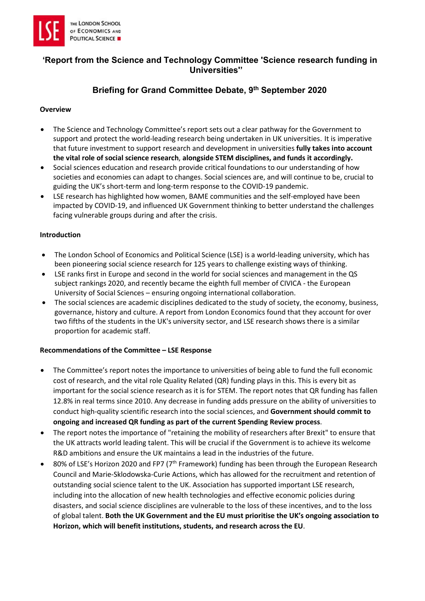

# 'Report from the Science and Technology Committee 'Science research funding in Universities''

# Briefing for Grand Committee Debate, 9th September 2020

#### **Overview**

- The Science and Technology Committee's report sets out a clear pathway for the Government to support and protect the world-leading research being undertaken in UK universities. It is imperative that future investment to support research and development in universities fully takes into account the vital role of social science research, alongside STEM disciplines, and funds it accordingly.
- Social sciences education and research provide critical foundations to our understanding of how societies and economies can adapt to changes. Social sciences are, and will continue to be, crucial to guiding the UK's short-term and long-term response to the COVID-19 pandemic.
- LSE research has highlighted how women, BAME communities and the self-employed have been impacted by COVID-19, and influenced UK Government thinking to better understand the challenges facing vulnerable groups during and after the crisis.

#### Introduction

- The London School of Economics and Political Science (LSE) is a world-leading university, which has been pioneering social science research for 125 years to challenge existing ways of thinking.
- LSE ranks first in Europe and second in the world for social sciences and management in the QS subject rankings 2020, and recently became the eighth full member of CIVICA - the European University of Social Sciences – ensuring ongoing international collaboration.
- The social sciences are academic disciplines dedicated to the study of society, the economy, business, governance, history and culture. A report from London Economics found that they account for over two fifths of the students in the UK's university sector, and LSE research shows there is a similar proportion for academic staff.

#### Recommendations of the Committee – LSE Response

- The Committee's report notes the importance to universities of being able to fund the full economic cost of research, and the vital role Quality Related (QR) funding plays in this. This is every bit as important for the social science research as it is for STEM. The report notes that QR funding has fallen 12.8% in real terms since 2010. Any decrease in funding adds pressure on the ability of universities to conduct high-quality scientific research into the social sciences, and Government should commit to ongoing and increased QR funding as part of the current Spending Review process.
- The report notes the importance of "retaining the mobility of researchers after Brexit" to ensure that the UK attracts world leading talent. This will be crucial if the Government is to achieve its welcome R&D ambitions and ensure the UK maintains a lead in the industries of the future.
- 80% of LSE's Horizon 2020 and FP7 ( $7<sup>th</sup>$  Framework) funding has been through the European Research Council and Marie-Sklodowska-Curie Actions, which has allowed for the recruitment and retention of outstanding social science talent to the UK. Association has supported important LSE research, including into the allocation of new health technologies and effective economic policies during disasters, and social science disciplines are vulnerable to the loss of these incentives, and to the loss of global talent. Both the UK Government and the EU must prioritise the UK's ongoing association to Horizon, which will benefit institutions, students, and research across the EU.